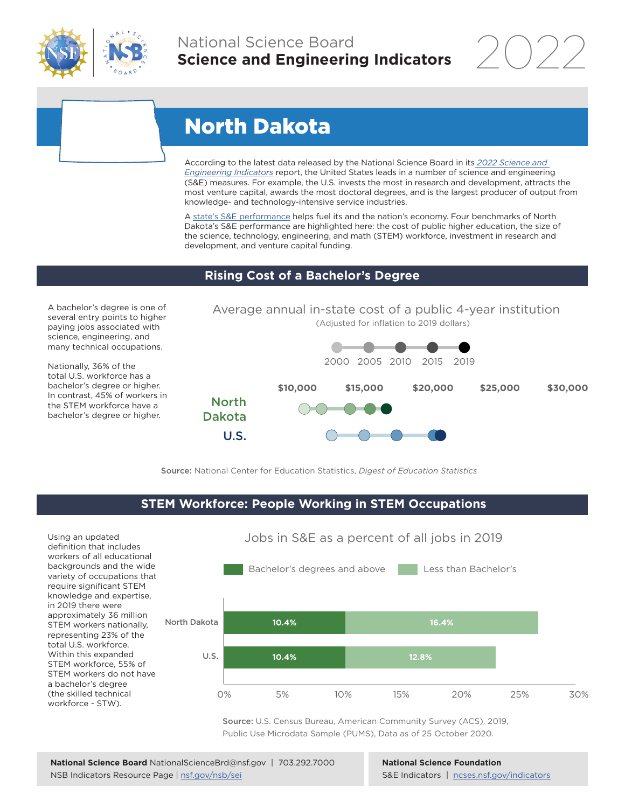

# National Science Board **Science and Engineering Indicators**

2022

# North Dakota

According to the latest data released by the National Science Board in its *[2022 Science and](https://www.ncses.nsf.gov/indicators)  [Engineering Indicators](https://www.ncses.nsf.gov/indicators)* report, the United States leads in a number of science and engineering (S&E) measures. For example, the U.S. invests the most in research and development, attracts the most venture capital, awards the most doctoral degrees, and is the largest producer of output from knowledge- and technology-intensive service industries.

A state's S&E performance helps fuel its and the nation's economy. Four benchmarks of North Dakota's S&E performance are highlighted here: the cost of public higher education, the size of the science, technology, engineering, and math (STEM) workforce, investment in research and development, and venture capital funding.

## **Rising Cost of a Bachelor's Degree**

A bachelor's degree is one of several entry points to higher paying jobs associated with science, engineering, and many technical occupations.

Nationally, 36% of the total U.S. workforce has a bachelor's degree or higher. In contrast, 45% of workers in the STEM workforce have a bachelor's degree or higher.



Source: National Center for Education Statistics, *Digest of Education Statistics*

## **STEM Workforce: People Working in STEM Occupations**

Using an updated definition that includes workers of all educational backgrounds and the wide variety of occupations that require significant STEM knowledge and expertise, in 2019 there were approximately 36 million STEM workers nationally, representing 23% of the total U.S. workforce. Within this expanded STEM workforce, 55% of STEM workers do not have a bachelor's degree (the skilled technical workforce - STW).



Source: U.S. Census Bureau, American Community Survey (ACS), 2019, Public Use Microdata Sample (PUMS), Data as of 25 October 2020.

**National Science Foundation** S&E Indicators | [ncses.nsf.gov/indicators](https://www.ncses.nsf.gov/indicators)

#### Jobs in S&E as a percent of all jobs in 2019